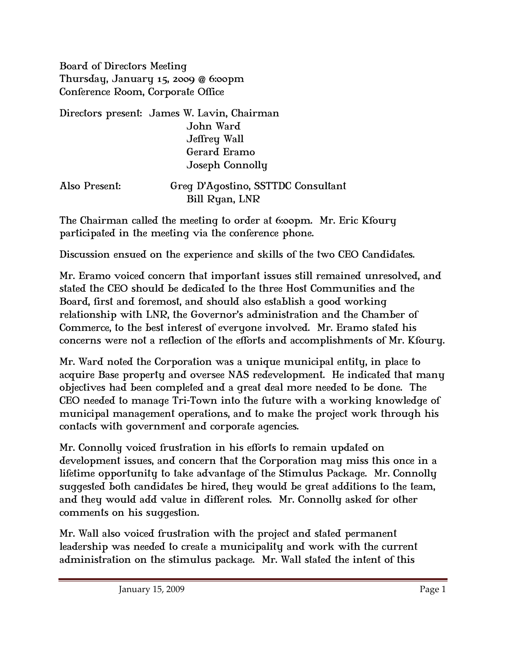Board of Directors Meeting Thursday, January 15, 2009 @ 6:00pm Conference Room, Corporate Office

Directors present: James W. Lavin, Chairman John Ward Jeffrey Wall Gerard Eramo Joseph Connolly

| Also Present: | Greg D'Agostino, SSTTDC Consultant |
|---------------|------------------------------------|
|               | Bill Ryan, LNR                     |

The Chairman called the meeting to order at 6:00pm. Mr. Eric Kfoury participated in the meeting via the conference phone.

Discussion ensued on the experience and skills of the two CEO Candidates.

Mr. Eramo voiced concern that important issues still remained unresolved, and stated the CEO should be dedicated to the three Host Communities and the Board, first and foremost, and should also establish a good working relationship with LNR, the Governor's administration and the Chamber of Commerce, to the best interest of everyone involved. Mr. Eramo stated his concerns were not a reflection of the efforts and accomplishments of Mr. Kfoury.

Mr. Ward noted the Corporation was a unique municipal entity, in place to acquire Base property and oversee NAS redevelopment. He indicated that many objectives had been completed and a great deal more needed to be done. The CEO needed to manage Tri-Town into the future with a working knowledge of municipal management operations, and to make the project work through his contacts with government and corporate agencies.

Mr. Connolly voiced frustration in his efforts to remain updated on development issues, and concern that the Corporation may miss this once in a lifetime opportunity to take advantage of the Stimulus Package. Mr. Connolly suggested both candidates be hired, they would be great additions to the team, and they would add value in different roles. Mr. Connolly asked for other comments on his suggestion.

Mr. Wall also voiced frustration with the project and stated permanent leadership was needed to create a municipality and work with the current administration on the stimulus package. Mr. Wall stated the intent of this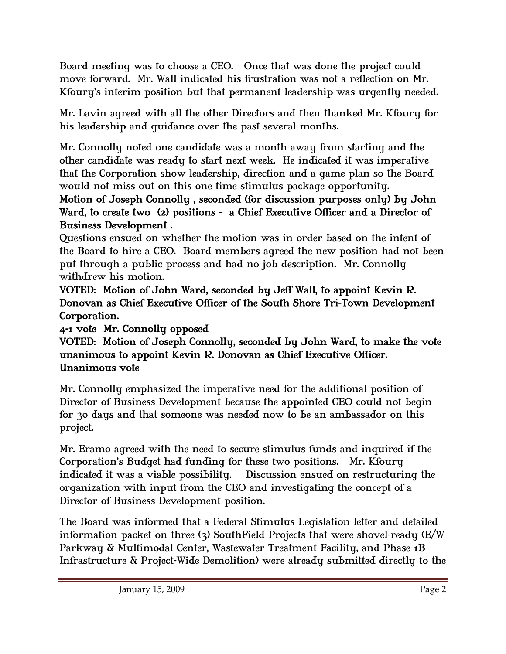Board meeting was to choose a CEO. Once that was done the project could move forward. Mr. Wall indicated his frustration was not a reflection on Mr. Kfoury's interim position but that permanent leadership was urgently needed.

Mr. Lavin agreed with all the other Directors and then thanked Mr. Kfoury for his leadership and guidance over the past several months.

Mr. Connolly noted one candidate was a month away from starting and the other candidate was ready to start next week. He indicated it was imperative that the Corporation show leadership, direction and a game plan so the Board would not miss out on this one time stimulus package opportunity.

## Motion of Joseph Connolly , seconded (for discussion purposes only) by John Ward, to create two (2) positions - a Chief Executive Officer and a Director of Business Development .

Questions ensued on whether the motion was in order based on the intent of the Board to hire a CEO. Board members agreed the new position had not been put through a public process and had no job description. Mr. Connolly withdrew his motion.

VOTED: Motion of John Ward, seconded by Jeff Wall, to appoint Kevin R. Donovan as Chief Executive Officer of the South Shore Tri-Town Development Corporation.

4-1 vote Mr. Connolly opposed

## VOTED: Motion of Joseph Connolly, seconded by John Ward, to make the vote unanimous to appoint Kevin R. Donovan as Chief Executive Officer. Unanimous vote

Mr. Connolly emphasized the imperative need for the additional position of Director of Business Development because the appointed CEO could not begin for 30 days and that someone was needed now to be an ambassador on this project.

Mr. Eramo agreed with the need to secure stimulus funds and inquired if the Corporation's Budget had funding for these two positions. Mr. Kfoury indicated it was a viable possibility. Discussion ensued on restructuring the organization with input from the CEO and investigating the concept of a Director of Business Development position.

The Board was informed that a Federal Stimulus Legislation letter and detailed information packet on three (3) SouthField Projects that were shovel-ready (E/W Parkway & Multimodal Center, Wastewater Treatment Facility, and Phase 1B Infrastructure & Project-Wide Demolition) were already submitted directly to the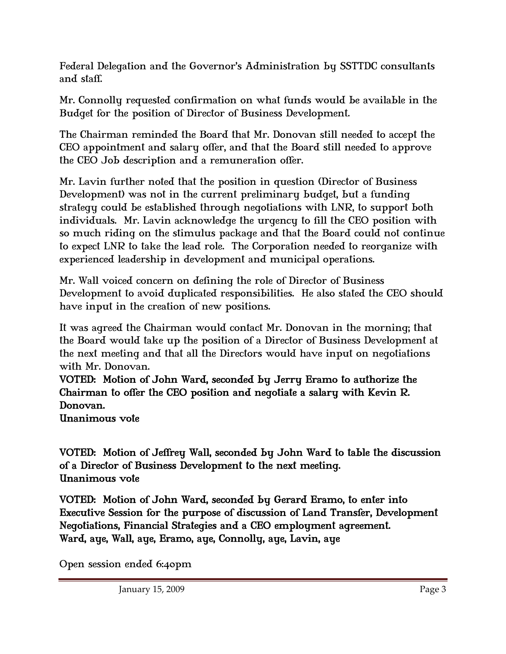Federal Delegation and the Governor's Administration by SSTTDC consultants and staff.

Mr. Connolly requested confirmation on what funds would be available in the Budget for the position of Director of Business Development.

The Chairman reminded the Board that Mr. Donovan still needed to accept the CEO appointment and salary offer, and that the Board still needed to approve the CEO Job description and a remuneration offer.

Mr. Lavin further noted that the position in question (Director of Business Development) was not in the current preliminary budget, but a funding strategy could be established through negotiations with LNR, to support both individuals. Mr. Lavin acknowledge the urgency to fill the CEO position with so much riding on the stimulus package and that the Board could not continue to expect LNR to take the lead role. The Corporation needed to reorganize with experienced leadership in development and municipal operations.

Mr. Wall voiced concern on defining the role of Director of Business Development to avoid duplicated responsibilities. He also stated the CEO should have input in the creation of new positions.

It was agreed the Chairman would contact Mr. Donovan in the morning; that the Board would take up the position of a Director of Business Development at the next meeting and that all the Directors would have input on negotiations with Mr. Donovan.

VOTED: Motion of John Ward, seconded by Jerry Eramo to authorize the Chairman to offer the CEO position and negotiate a salary with Kevin R. Donovan.

Unanimous vote

VOTED: Motion of Jeffrey Wall, seconded by John Ward to table the discussion of a Director of Business Development to the next meeting. Unanimous vote

VOTED: Motion of John Ward, seconded by Gerard Eramo, to enter into Executive Session for the purpose of discussion of Land Transfer, Development Negotiations, Financial Strategies and a CEO employment agreement. Ward, aye, Wall, aye, Eramo, aye, Connolly, aye, Lavin, aye

Open session ended 6:40pm